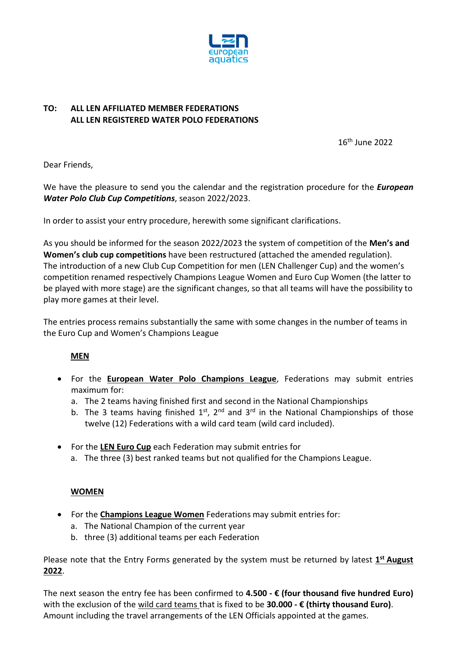

## **TO: ALL LEN AFFILIATED MEMBER FEDERATIONS ALL LEN REGISTERED WATER POLO FEDERATIONS**

16 th June 2022

Dear Friends,

We have the pleasure to send you the calendar and the registration procedure for the *European Water Polo Club Cup Competitions*, season 2022/2023.

In order to assist your entry procedure, herewith some significant clarifications.

As you should be informed for the season 2022/2023 the system of competition of the **Men's and Women's club cup competitions** have been restructured (attached the amended regulation). The introduction of a new Club Cup Competition for men (LEN Challenger Cup) and the women's competition renamed respectively Champions League Women and Euro Cup Women (the latter to be played with more stage) are the significant changes, so that all teams will have the possibility to play more games at their level.

The entries process remains substantially the same with some changes in the number of teams in the Euro Cup and Women's Champions League

## **MEN**

- For the **European Water Polo Champions League**, Federations may submit entries maximum for:
	- a. The 2 teams having finished first and second in the National Championships
	- b. The 3 teams having finished  $1^{st}$ ,  $2^{nd}$  and  $3^{rd}$  in the National Championships of those twelve (12) Federations with a wild card team (wild card included).
- For the **LEN Euro Cup** each Federation may submit entries for a. The three (3) best ranked teams but not qualified for the Champions League.

## **WOMEN**

- For the **Champions League Women** Federations may submit entries for:
	- a. The National Champion of the current year
	- b. three (3) additional teams per each Federation

Please note that the Entry Forms generated by the system must be returned by latest  $1^{st}$  August **2022**.

The next season the entry fee has been confirmed to **4.500 - € (four thousand five hundred Euro)** with the exclusion of the wild card teams that is fixed to be **30.000 - € (thirty thousand Euro)**. Amount including the travel arrangements of the LEN Officials appointed at the games.